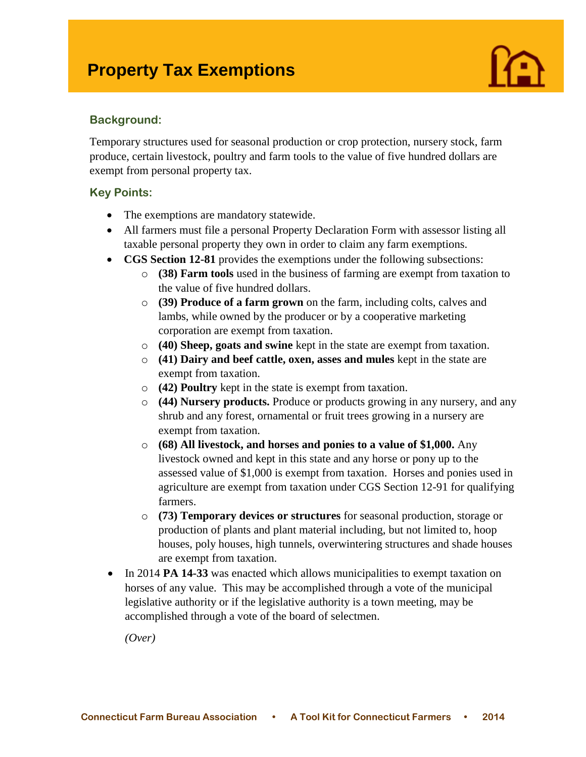# **Property Tax Exemptions**



#### **Background:**

Temporary structures used for seasonal production or crop protection, nursery stock, farm produce, certain livestock, poultry and farm tools to the value of five hundred dollars are exempt from personal property tax.

#### **Key Points:**

- The exemptions are mandatory statewide.
- All farmers must file a personal Property Declaration Form with assessor listing all taxable personal property they own in order to claim any farm exemptions.
- **CGS Section 12-81** provides the exemptions under the following subsections:
	- o **(38) Farm tools** used in the business of farming are exempt from taxation to the value of five hundred dollars.
	- o **(39) Produce of a farm grown** on the farm, including colts, calves and lambs, while owned by the producer or by a cooperative marketing corporation are exempt from taxation.
	- o **(40) Sheep, goats and swine** kept in the state are exempt from taxation.
	- o **(41) Dairy and beef cattle, oxen, asses and mules** kept in the state are exempt from taxation.
	- o **(42) Poultry** kept in the state is exempt from taxation.
	- o **(44) Nursery products.** Produce or products growing in any nursery, and any shrub and any forest, ornamental or fruit trees growing in a nursery are exempt from taxation.
	- o **(68) All livestock, and horses and ponies to a value of \$1,000.** Any livestock owned and kept in this state and any horse or pony up to the assessed value of \$1,000 is exempt from taxation. Horses and ponies used in agriculture are exempt from taxation under CGS Section 12-91 for qualifying farmers.
	- o **(73) Temporary devices or structures** for seasonal production, storage or production of plants and plant material including, but not limited to, hoop houses, poly houses, high tunnels, overwintering structures and shade houses are exempt from taxation.
- In 2014 **PA 14-33** was enacted which allows municipalities to exempt taxation on horses of any value. This may be accomplished through a vote of the municipal legislative authority or if the legislative authority is a town meeting, may be accomplished through a vote of the board of selectmen.

*(Over)*